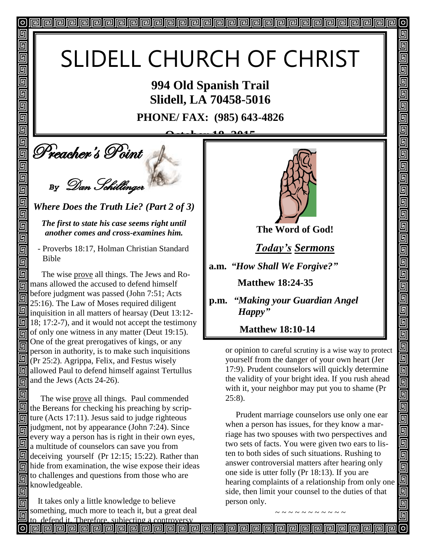# SLIDELL CHURCH OF CHRIST

**994 Old Spanish Trail Slidell, LA 70458-5016**

**PHONE/ FAX: (985) 643-4826**

**October 18, 2015**

**Deacher's Point** 

回

回 回 同 回

回 回

回

回

 $\blacksquare$  $\overline{\mathbb{G}}$  $\overline{\mathbb{D}}$ 

画

同

回 Π

同 同

回

同

同

同

*By* Dan Schillinger

*Where Does the Truth Lie? (Part 2 of 3)*

*The first to state his case seems right until another comes and cross-examines him.*

 - Proverbs 18:17, Holman Christian Standard Bible

 The wise prove all things. The Jews and Ro- $\boxed{6}$  mans allowed the accused to defend himself before judgment was passed (John 7:51; Acts 同 25:16). The Law of Moses required diligent inquisition in all matters of hearsay (Deut 13:12- $\boxed{9}$  18; 17:2-7), and it would not accept the testimony  $\overline{6}$  of only one witness in any matter (Deut 19:15). One of the great prerogatives of kings, or any 同 person in authority, is to make such inquisitions (Pr 25:2). Agrippa, Felix, and Festus wisely **E** allowed Paul to defend himself against Tertullus  $\overline{\mathbb{G}}$  and the Jews (Acts 24-26).

 The wise prove all things. Paul commended the Bereans for checking his preaching by scrip- $\overline{m}$  ture (Acts 17:11). Jesus said to judge righteous  $\overline{m}$  judgment, not by appearance (John 7:24). Since every way a person has is right in their own eyes, a multitude of counselors can save you from  $\Box$  deceiving yourself (Pr 12:15; 15:22). Rather than hide from examination, the wise expose their ideas to challenges and questions from those who are 同 knowledgeable.

 It takes only a little knowledge to believe something, much more to teach it, but a great deal to defend it. Therefore, subjecting a controversy



 $\sigma$ 

回

5

<u> ज</u>

5

 $\overline{\mathbb{F}}$ 

5

回

5

5

 $\overline{\mathbb{F}}$ 

回 <u>ត្ប</u>  $\overline{\overline{\mathsf{g}}}$ 画

o di

eleielei

回回回

99

 $\blacksquare$ 

回

**The Word of God!**

*Today's Sermons*

**a.m.** *"How Shall We Forgive?"*

 **Matthew 18:24-35**

**p.m.** *"Making your Guardian Angel* *Happy"*

 **Matthew 18:10-14**

or opinion to careful scrutiny is a wise way to protect yourself from the danger of your own heart (Jer 17:9). Prudent counselors will quickly determine the validity of your bright idea. If you rush ahead with it, your neighbor may put you to shame (Pr 25:8).

 Prudent marriage counselors use only one ear when a person has issues, for they know a marriage has two spouses with two perspectives and two sets of facts. You were given two ears to listen to both sides of such situations. Rushing to answer controversial matters after hearing only one side is utter folly (Pr 18:13). If you are hearing complaints of a relationship from only one side, then limit your counsel to the duties of that person only.

~ ~ ~ ~ ~ ~ ~ ~ ~ ~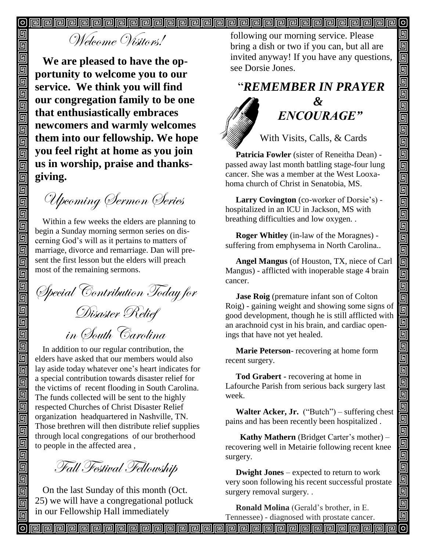$\boldsymbol{\mathsf{[o]}}$  $\boldsymbol{\mathsf{[o]}}$ 

## Welcome Visitors!

**We are pleased to have the opportunity to welcome you to our service. We think you will find our congregation family to be one that enthusiastically embraces newcomers and warmly welcomes them into our fellowship. We hope you feel right at home as you join us in worship, praise and thanksgiving.**

Upcoming Sermon Series

Within a few weeks the elders are planning to begin a Sunday morning sermon series on discerning God's will as it pertains to matters of marriage, divorce and remarriage. Dan will present the first lesson but the elders will preach most of the remaining sermons.

Special Contribution Today for Disaster Relief in South Carolina

In addition to our regular contribution, the elders have asked that our members would also lay aside today whatever one's heart indicates for a special contribution towards disaster relief for the victims of recent flooding in South Carolina. The funds collected will be sent to the highly respected Churches of Christ Disaster Relief organization headquartered in Nashville, TN. Those brethren will then distribute relief supplies through local congregations of our brotherhood to people in the affected area ,

Fall Festival Fellowship

On the last Sunday of this month (Oct. 25) we will have a congregational potluck in our Fellowship Hall immediately

following our morning service. Please bring a dish or two if you can, but all are invited anyway! If you have any questions, see Dorsie Jones.

回

回 回

面

回

呞

回

回

回

回

<u>alai</u>

 $\blacksquare$ 

画

 $\blacksquare$ 画

回

面

<u>gie je</u>

<u>eler</u>

 $\overline{\mathsf{q}}$ 

ololo<br>Die

 $\overline{\blacksquare}$ 

回  $\overline{\mathsf{g}}$ 

<u>同同</u>

 $\blacksquare$ 

elei<br>E

<u>|o||o</u>

 $\blacksquare$ 

回

## "*REMEMBER IN PRAYER &* " *ENCOURAGE"*

With Visits, Calls, & Cards

 **Patricia Fowler** (sister of Reneitha Dean) passed away last month battling stage-four lung cancer. She was a member at the West Looxahoma church of Christ in Senatobia, MS.

 **Larry Covington** (co-worker of Dorsie's) hospitalized in an ICU in Jackson, MS with breathing difficulties and low oxygen. .

 **Roger Whitley** (in-law of the Moragnes) suffering from emphysema in North Carolina..

 **Angel Mangus** (of Houston, TX, niece of Carl Mangus) - afflicted with inoperable stage 4 brain cancer.

 **Jase Roig** (premature infant son of Colton Roig) - gaining weight and showing some signs of good development, though he is still afflicted with an arachnoid cyst in his brain, and cardiac openings that have not yet healed.

 **Marie Peterson**- recovering at home form recent surgery.

 **Tod Grabert -** recovering at home in Lafourche Parish from serious back surgery last week.

 **Walter Acker, Jr.** ("Butch") – suffering chest pains and has been recently been hospitalized .

 **Kathy Mathern** (Bridget Carter's mother) – recovering well in Metairie following recent knee surgery.

 **Dwight Jones** – expected to return to work very soon following his recent successful prostate surgery removal surgery. .

 **Ronald Molina** (Gerald's brother, in E. Tennessee) - diagnosed with prostate cancer.

**Peopopopopopopopopopopopopopopop** 

回

回

回

回  $\overline{\overline{\mathbb{G}}}$ 

回

靣

靣

靣

靣

回 同

回 回

回

回

回

回 回

回 回

回回

回

回 画

回 回

同

同 回

回

回 回

回 回 回

回 同

同 回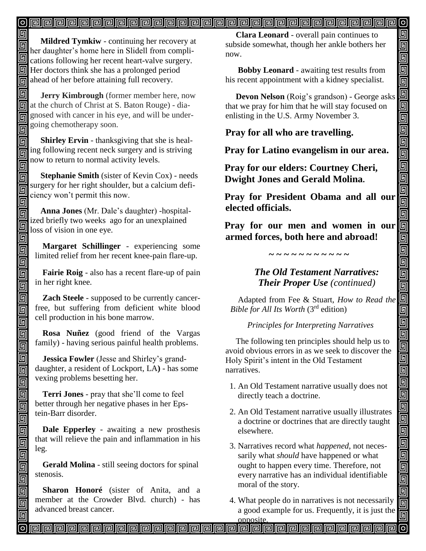#### $\left[ \circ \right]$

同 **Mildred Tymkiw** - continuing her recovery at **her daughter's home here in Slidell from compli-**<br>her daughter's home here in Slidell from complications following her recent heart-valve surgery. Her doctors think she has a prolonged period  $\overline{\text{m}}$  ahead of her before attaining full recovery.

同  **Jerry Kimbrough** (former member here, now **同** at the church of Christ at S. Baton Rouge) - diagnosed with cancer in his eye, and will be undergoing chemotherapy soon. 同 Î

 **Shirley Ervin** - thanksgiving that she is healing following recent neck surgery and is striving 同 now to return to normal activity levels.

回

同

同 同 回 回

回 回

5

回

 $\blacksquare$ 

回 回 回

 $\overline{\mathbb{G}}$ 回 画

回 同 同 回 回 回 回 回  $\overline{\mathbb{G}}$ 回 回

同 同 回

 **Stephanie Smith** (sister of Kevin Cox) - needs surgery for her right shoulder, but a calcium deficiency won't permit this now.

 **Anna Jones** (Mr. Dale's daughter) -hospitalized briefly two weeks ago for an unexplained loss of vision in one eye.

**Margaret Schillinger** - experiencing some limited relief from her recent knee-pain flare-up.

**Fairie Roig** - also has a recent flare-up of pain in her right knee.

**Zach Steele** - supposed to be currently cancerfree, but suffering from deficient white blood cell production in his bone marrow.

**Rosa Nuñez** (good friend of the Vargas family) - having serious painful health problems.

**Jessica Fowler** (Jesse and Shirley's granddaughter, a resident of Lockport, LA**)** - has some vexing problems besetting her.

**Terri Jones** - pray that she'll come to feel better through her negative phases in her Epstein-Barr disorder.

**Dale Epperley** - awaiting a new prosthesis that will relieve the pain and inflammation in his leg.

**Gerald Molina** - still seeing doctors for spinal stenosis.

**Sharon Honoré** (sister of Anita, and a member at the Crowder Blvd. church) - has advanced breast cancer.

 **Clara Leonard** - overall pain continues to subside somewhat, though her ankle bothers her now.

回 回 靣  $\overline{\blacksquare}$ 画

d<br>90

<u>ieir</u>

666

00000

İo

 $\overline{\mathbb{D}}$ 

 $\overline{\mathbb{F}}$ 

 $\overline{\blacksquare}$ 

<u>eler</u>

00000

elelelele ele

olololo

 **Bobby Leonard** - awaiting test results from his recent appointment with a kidney specialist.

 **Devon Nelson** (Roig's grandson) - George asks that we pray for him that he will stay focused on enlisting in the U.S. Army November 3.

**Pray for all who are travelling.**

**Pray for Latino evangelism in our area.**

**Pray for our elders: Courtney Cheri, Dwight Jones and Gerald Molina.**

**Pray for President Obama and all our elected officials.**

**Pray for our men and women in our armed forces, both here and abroad!**

**~ ~ ~ ~ ~ ~ ~ ~ ~ ~ ~**

#### *The Old Testament Narratives: Their Proper Use (continued)*

Adapted from Fee & Stuart, *How to Read the Bible for All Its Worth* (3rd edition)

*Principles for Interpreting Narratives*

 The following ten principles should help us to avoid obvious errors in as we seek to discover the Holy Spirit's intent in the Old Testament narratives.

- 1. An Old Testament narrative usually does not directly teach a doctrine.
- 2. An Old Testament narrative usually illustrates a doctrine or doctrines that are directly taught elsewhere.
- 3. Narratives record what *happened*, not neces sarily what *should* have happened or what ought to happen every time. Therefore, not every narrative has an individual identifiable moral of the story.
- 4. What people do in narratives is not necessarily a good example for us. Frequently, it is just the

opposite.<br><u>Profele profele profele profele profele profele profele profele profele profele pro</u>